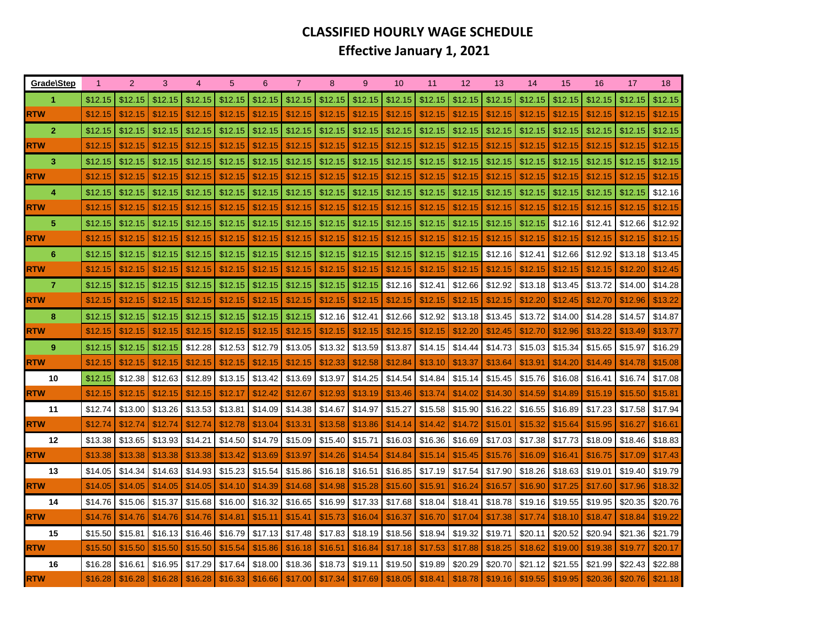## **CLASSIFIED HOURLY WAGE SCHEDULEEffective January 1, 2021**

| Grade\Step       | $\mathbf{1}$       | $\overline{2}$     | 3                  |                    | 5                  | 6                  | 7                  | 8                  | 9                  | 10                 | 11                 | 12                 | 13                 | 14                 | 15                 | 16                 | 17                 | 18                 |
|------------------|--------------------|--------------------|--------------------|--------------------|--------------------|--------------------|--------------------|--------------------|--------------------|--------------------|--------------------|--------------------|--------------------|--------------------|--------------------|--------------------|--------------------|--------------------|
| 1.               | \$12.15            | \$12.15            | \$12.15            | \$12.15            | \$12.15            | \$12.15            | \$12.15            | \$12.15            | \$12.15            | \$12.15            | \$12.15            | \$12.15            | \$12.15            | \$12.15            | \$12.15            | \$12.15            | \$12.15            | \$12.15            |
| <b>RTW</b>       | \$12.15            | \$12.15            | \$12.15            | \$12.15            | \$12.15            | \$12.15            | \$12.15            | \$12.15            | \$12.15            | \$12.15            | \$12.15            | \$12.15            | \$12.15            | \$12.15            | \$12.15            | \$12.15            | \$12.15            | \$12.15            |
| $\overline{2}$   | \$12.15            | \$12.15            | \$12.15            | \$12.15            | \$12.15            | \$12.15            | \$12.15            | \$12.15            | \$12.15            | \$12.15            | \$12.15            | \$12.15            | \$12.15            | \$12.15            | \$12.15            | \$12.15            | \$12.15            | \$12.15            |
| <b>RTW</b>       | \$12.15            | \$12.15            | \$12.15            | \$12.15            | \$12.15            | \$12.15            | \$12.15            | \$12.15            | \$12.15            | \$12.15            | \$12.15            | \$12.15            | \$12.15            | \$12.15            | \$12.15            | \$12.15            | \$12.15            | \$12.15            |
| 3 <sup>2</sup>   | \$12.15            | \$12.15            | \$12.15            | \$12.15            | \$12.15            | \$12.15            | \$12.15            | \$12.15            | \$12.15            | \$12.15            | \$12.15            | \$12.15            | \$12.15            | \$12.15            | \$12.15            | \$12.15            | \$12.15            | \$12.15            |
| <b>RTW</b>       | \$12.15            | \$12.15            | \$12.15            | \$12.15            | \$12.15            | \$12.15            | \$12.15            | \$12.15            | \$12.15            | \$12.15            | \$12.15            | \$12.15            | \$12.15            | \$12.15            | \$12.15            | \$12.15            | \$12.15            | \$12.15            |
| 4                | \$12.15            | \$12.15            | \$12.15            | \$12.15            | \$12.15            | \$12.15            | \$12.15            | \$12.15            | \$12.15            | \$12.15            | \$12.15            | \$12.15            | \$12.15            | \$12.15            | \$12.15            | \$12.15            | \$12.15            | \$12.16            |
| <b>RTW</b>       | \$12.15            | \$12.15            | \$12.15            | \$12.15            | \$12.15            | \$12.15            | \$12.15            | \$12.15            | \$12.15            | \$12.15            | \$12.15            | \$12.15            | \$12.15            | \$12.15            | \$12.15            | \$12.15            | \$12.15            | \$12.15            |
| 5                | \$12.15            | \$12.15            | \$12.15            | \$12.15            | \$12.15            | \$12.15            | \$12.15            | \$12.15            | \$12.15            | \$12.15            | \$12.15            | \$12.15            | \$12.15            | \$12.15            | \$12.16            | \$12.41            | \$12.66            | \$12.92            |
| <b>RTW</b>       | \$12.15            | \$12.15            | \$12.15            | \$12.15            | \$12.15            | \$12.15            | \$12.15            | \$12.15            | \$12.15            | \$12.15            | \$12.15            | \$12.15            | \$12.15            | \$12.15            | \$12.15            | \$12.15            | \$12.15            | \$12.15            |
| 6                | \$12.15            | \$12.15            | \$12.15            | \$12.15            | \$12.15            | \$12.15            | \$12.15            | \$12.15            | \$12.15            | \$12.15            | \$12.15            | \$12.15            | \$12.16            | \$12.41            | \$12.66            | \$12.92            | \$13.18            | \$13.45            |
| <b>RTW</b>       | \$12.15            | \$12.15            | \$12.15            | \$12.15            | \$12.15            | \$12.15            | \$12.15            | \$12.15            | \$12.15            | \$12.15            | \$12.15            | \$12.15            | \$12.15            | \$12.15            | \$12.15            | \$12.15            | \$12.20            | \$12.45            |
| $\overline{7}$   | \$12.15            | \$12.15            | \$12.15            | \$12.15            | \$12.15            | \$12.15            | \$12.15            | \$12.15            | \$12.15            | \$12.16            | \$12.41            | \$12.66            | \$12.92            | \$13.18            | \$13.45            | \$13.72            | \$14.00            | \$14.28            |
| <b>RTW</b>       | \$12.15            | \$12.15            | \$12.15            | \$12.15            | \$12.15            | \$12.15            | \$12.15            | \$12.15            | \$12.15            | \$12.15            | \$12.15            | \$12.15            | \$12.15            | \$12.20            | \$12.45            | \$12.70            | \$12.96            | \$13.22            |
| 8                | \$12.15            | \$12.15            | \$12.15            | \$12.15            | \$12.15            | \$12.15            | \$12.15            | \$12.16            | \$12.41            | \$12.66            | \$12.92            | \$13.18            | \$13.45            | \$13.72            | \$14.00            | \$14.28            | \$14.57            | \$14.87            |
| <b>RTW</b>       | \$12.15            | \$12.15            | \$12.15            | \$12.15            | \$12.15            | \$12.15            | \$12.15            | \$12.15            | \$12.15            | \$12.15            | \$12.15            | \$12.20            | \$12.45            | \$12.70            | \$12.96            | \$13.22            | \$13.49            | \$13.77            |
| 9 <sup>°</sup>   | \$12.15            | \$12.15            | \$12.15            | \$12.28            | \$12.53            | \$12.79            | \$13.05            | \$13.32            | \$13.59            | \$13.87            | \$14.15            | \$14.44            | \$14.73            | \$15.03            | \$15.34            | \$15.65            | \$15.97            | \$16.29            |
| <b>RTW</b>       | \$12.15            | \$12.15            | \$12.15            | \$12.15            | \$12.15            | \$12.15            | \$12.15            | \$12.33            | \$12.58            | \$12.84            | \$13.10            | \$13.37            | \$13.64            | \$13.91            | \$14.20            | \$14.49            | \$14.78            | \$15.08            |
| 10<br><b>RTW</b> | \$12.15<br>\$12.15 | \$12.38<br>\$12.15 | \$12.63<br>\$12.15 | \$12.89<br>\$12.15 | \$13.15<br>\$12.17 | \$13.42<br>\$12.42 | \$13.69<br>\$12.67 | \$13.97<br>\$12.93 | \$14.25<br>\$13.19 | \$14.54<br>\$13.46 | \$14.84<br>\$13.74 | \$15.14<br>\$14.02 | \$15.45<br>\$14.30 | \$15.76<br>\$14.59 | \$16.08<br>\$14.89 | \$16.41<br>\$15.19 | \$16.74<br>\$15.50 | \$17.08<br>\$15.81 |
| 11               | \$12.74            | \$13.00            | \$13.26            | \$13.53            | \$13.81            | \$14.09            | \$14.38            | \$14.67            | \$14.97            | \$15.27            | \$15.58            | \$15.90            | \$16.22            | \$16.55            | \$16.89            | \$17.23            | \$17.58            | \$17.94            |
| <b>RTW</b>       | \$12.74            | \$12.74            | \$12.74            | \$12.74            | \$12.78            | \$13.04            | \$13.31            | \$13.58            | \$13.86            | \$14.14            | \$14.42            | \$14.72            | \$15.01            | \$15.32            | \$15.64            | \$15.95            | \$16.27            | \$16.61            |
| 12               | \$13.38            | \$13.65            | \$13.93            | \$14.21            | \$14.50            | \$14.79            | \$15.09            | \$15.40            | \$15.71            | \$16.03            | \$16.36            | \$16.69            | \$17.03            | \$17.38            | \$17.73            | \$18.09            | \$18.46            | \$18.83            |
| <b>RTW</b>       | \$13.38            | \$13.38            | \$13.38            | \$13.38            | \$13.42            | \$13.69            | \$13.97            | \$14.26            | \$14.54            | \$14.84            | \$15.14            | \$15.45            | \$15.76            | \$16.09            | \$16.41            | \$16.75            | \$17.09            | \$17.43            |
| 13               | \$14.05            | \$14.34            | \$14.63            | \$14.93            | \$15.23            | \$15.54            | \$15.86            | \$16.18            | \$16.51            | \$16.85            | \$17.19            | \$17.54            | \$17.90            | \$18.26            | \$18.63            | \$19.01            | \$19.40            | \$19.79            |
| <b>RTW</b>       | \$14.05            | \$14.05            | \$14.05            | \$14.05            | \$14.10            | \$14.39            | \$14.68            | \$14.98            | \$15.28            | \$15.60            | \$15.91            | \$16.24            | \$16.57            | \$16.90            | \$17.25            | \$17.60            | \$17.96            | \$18.32            |
| 14               | \$14.76            | \$15.06            | \$15.37            | \$15.68            | \$16.00            | \$16.32            | \$16.65            | \$16.99            | \$17.33            | \$17.68            | \$18.04            | \$18.41            | \$18.78            | \$19.16            | \$19.55            | \$19.95            | \$20.35            | \$20.76            |
| <b>RTW</b>       | \$14.76            | \$14.76            | \$14.76            | \$14.76            | \$14.81            | \$15.11            | \$15.41            | \$15.73            | \$16.04            | \$16.37            | \$16.70            | \$17.04            | \$17.38            | \$17.74            | \$18.10            | \$18.47            | \$18.84            | \$19.22            |
| 15               | \$15.50            | \$15.81            | \$16.13            | \$16.46            | \$16.79            | \$17.13            | \$17.48            | \$17.83            | \$18.19            | \$18.56            | \$18.94            | \$19.32            | \$19.71            | \$20.11            | \$20.52            | \$20.94            | \$21.36            | \$21.79            |
| <b>RTW</b>       | \$15.50            | \$15.50            | \$15.50            | \$15.50            | \$15.54            | \$15.86            | \$16.18            | \$16.51            | \$16.84            | \$17.18            | \$17.53            | \$17.88            | \$18.25            | \$18.62            | \$19.00            | \$19.38            | \$19.77            | \$20.17            |
| 16               | \$16.28            | \$16.61            | \$16.95            | \$17.29            | \$17.64            | \$18.00            | \$18.36            | \$18.73            | \$19.11            | \$19.50            | \$19.89            | \$20.29            | \$20.70            | \$21.12            | \$21.55            | \$21.99            | \$22.43            | \$22.88            |
| <b>RTW</b>       | \$16.28            | \$16.28            | \$16.28            | \$16.28            | \$16.33            | \$16.66            | \$17.00            | \$17.34            | \$17.69            | \$18.05            | \$18.41            | \$18.78            | \$19.16            | \$19.55            | \$19.95            | \$20.36            | \$20.76            | \$21.18            |